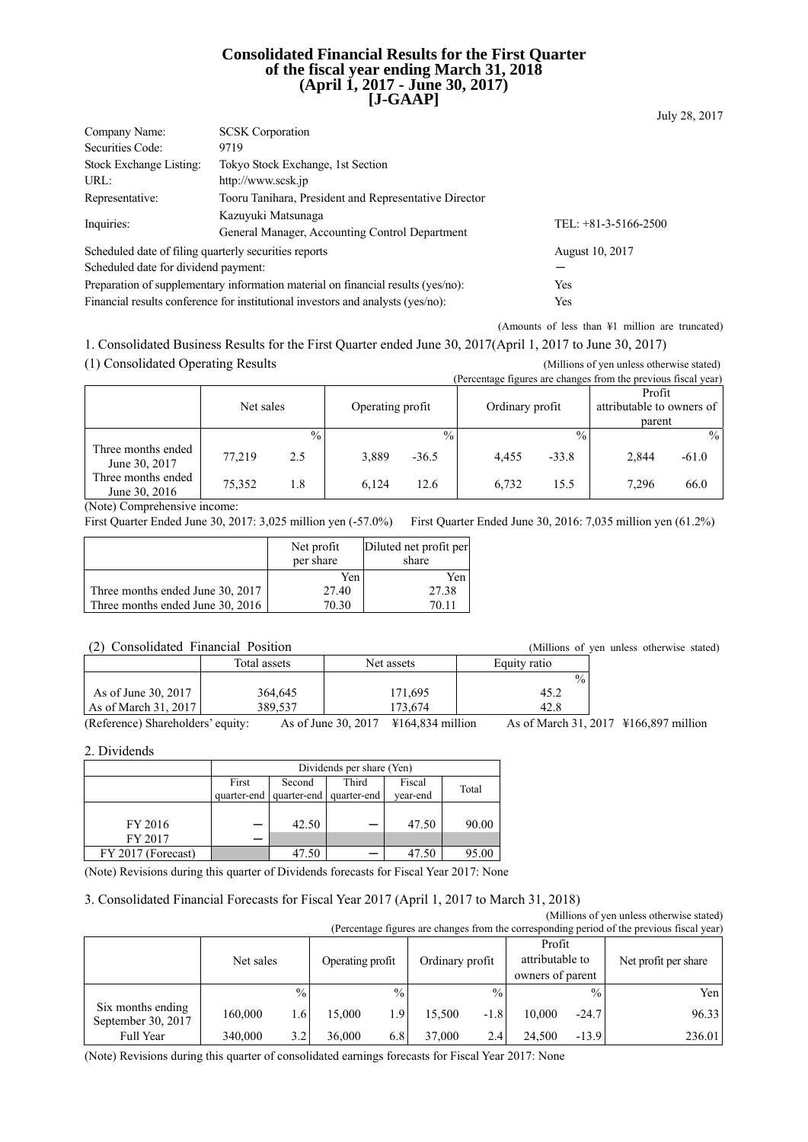### **Consolidated Financial Results for the First Quarter of the fiscal year ending March 31, 2018 (April 1, 2017 - June 30, 2017) [J-GAAP]**

| Company Name:                                                                   | <b>SCSK</b> Corporation                                                          |                        |  |  |  |
|---------------------------------------------------------------------------------|----------------------------------------------------------------------------------|------------------------|--|--|--|
| Securities Code:                                                                | 9719                                                                             |                        |  |  |  |
| Stock Exchange Listing:                                                         | Tokyo Stock Exchange, 1st Section                                                |                        |  |  |  |
| URL:                                                                            | http://www.scsk.jp                                                               |                        |  |  |  |
| Representative:                                                                 | Tooru Tanihara, President and Representative Director                            |                        |  |  |  |
| Inquiries:                                                                      | Kazuyuki Matsunaga<br>General Manager, Accounting Control Department             | TEL: $+81-3-5166-2500$ |  |  |  |
| Scheduled date of filing quarterly securities reports                           |                                                                                  | August 10, 2017        |  |  |  |
| Scheduled date for dividend payment:                                            |                                                                                  |                        |  |  |  |
|                                                                                 | Preparation of supplementary information material on financial results (yes/no): | Yes                    |  |  |  |
| Financial results conference for institutional investors and analysts (yes/no): | Yes                                                                              |                        |  |  |  |

(Amounts of less than ¥1 million are truncated)

1. Consolidated Business Results for the First Quarter ended June 30, 2017(April 1, 2017 to June 30, 2017)

(1) Consolidated Operating Results (Millions of yen unless otherwise stated)

|                                     |           |               |                  |               |                 |               | (Percentage figures are changes from the previous fiscal year) |               |
|-------------------------------------|-----------|---------------|------------------|---------------|-----------------|---------------|----------------------------------------------------------------|---------------|
|                                     |           |               |                  |               |                 |               | Profit                                                         |               |
|                                     | Net sales |               | Operating profit |               | Ordinary profit |               | attributable to owners of                                      |               |
|                                     |           |               |                  |               |                 |               | parent                                                         |               |
|                                     |           | $\frac{0}{0}$ |                  | $\frac{0}{0}$ |                 | $\frac{0}{0}$ |                                                                | $\frac{0}{0}$ |
| Three months ended<br>June 30, 2017 | 77.219    | 2.5           | 3,889            | $-36.5$       | 4.455           | $-33.8$       | 2,844                                                          | $-61.0$       |
| Three months ended<br>June 30, 2016 | 75,352    | 1.8           | 6.124            | 12.6          | 6,732           | 15.5          | 7,296                                                          | 66.0          |

(Note) Comprehensive income:

First Quarter Ended June 30, 2017: 3,025 million yen (-57.0%) First Quarter Ended June 30, 2016: 7,035 million yen (61.2%)

|                                  | Net profit<br>per share | Diluted net profit per<br>share |
|----------------------------------|-------------------------|---------------------------------|
|                                  | Yen                     | Yen                             |
| Three months ended June 30, 2017 | 27.40                   | 27.38                           |
| Three months ended June 30, 2016 | 70.30                   | 70.11                           |

### (2) Consolidated Financial Position (Millions of yen unless otherwise stated)

| $\cdot$ $\sim$ $\cdot$<br>$\sim$ | ,,,,,,,,,,,,,,,,, | "               |               |  |
|----------------------------------|-------------------|-----------------|---------------|--|
|                                  | Total assets      | Net assets      | Equity ratio  |  |
|                                  |                   |                 | $\frac{0}{0}$ |  |
| As of June 30, 2017              | 364,645           | 171,695         | 45.2          |  |
| As of March 31, 2017             | 389.537           | 173.674         | 42.8          |  |
|                                  | $\sim$ $\sim$     | --------------- | .             |  |

(Reference) Shareholders' equity: As of June 30, 2017 ¥164,834 million As of March 31, 2017 ¥166,897 million

2. Dividends

|                    | Dividends per share (Yen) |                                                                                          |  |       |       |  |  |  |
|--------------------|---------------------------|------------------------------------------------------------------------------------------|--|-------|-------|--|--|--|
|                    | First                     | Third<br>Fiscal<br>Second<br>Total<br>quarter-end quarter-end<br>quarter-end<br>year-end |  |       |       |  |  |  |
| FY 2016<br>FY 2017 |                           | 42.50                                                                                    |  | 47.50 | 90.00 |  |  |  |
| FY 2017 (Forecast) |                           | 47.50                                                                                    |  | 47.50 | 95.00 |  |  |  |

(Note) Revisions during this quarter of Dividends forecasts for Fiscal Year 2017: None

## 3. Consolidated Financial Forecasts for Fiscal Year 2017 (April 1, 2017 to March 31, 2018)

(Millions of yen unless otherwise stated) (Depart on figures are changes from the corresponding period of the previous fiscal ye

| referentage rigures are changes from the corresponding period of the previous fiscal year) |           |               |                                     |               |                                               |               |                      |               |        |
|--------------------------------------------------------------------------------------------|-----------|---------------|-------------------------------------|---------------|-----------------------------------------------|---------------|----------------------|---------------|--------|
|                                                                                            | Net sales |               | Ordinary profit<br>Operating profit |               | Profit<br>attributable to<br>owners of parent |               | Net profit per share |               |        |
|                                                                                            |           | $\frac{0}{0}$ |                                     | $\frac{0}{0}$ |                                               | $\frac{0}{0}$ |                      | $\frac{0}{0}$ | Yen    |
| Six months ending<br>September 30, 2017                                                    | 160.000   | 1.6           | 15.000                              | 1.9           | 15.500                                        | $-1.8$        | 10.000               | $-24.7$       | 96.33  |
| Full Year                                                                                  | 340,000   | 3.2           | 36.000                              | 6.8           | 37,000                                        | 2.4           | 24.500               | $-13.9$       | 236.01 |

(Note) Revisions during this quarter of consolidated earnings forecasts for Fiscal Year 2017: None

July 28, 2017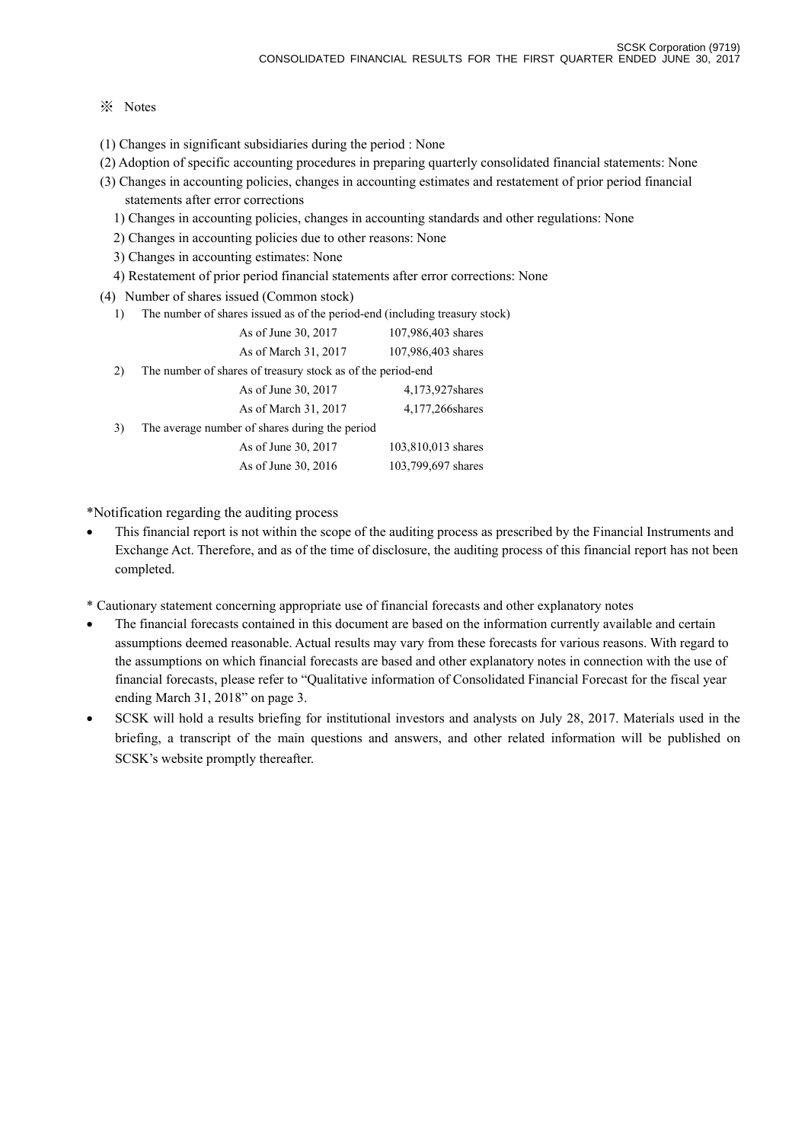## ※ Notes

- (1) Changes in significant subsidiaries during the period : None
- (2) Adoption of specific accounting procedures in preparing quarterly consolidated financial statements: None
- (3) Changes in accounting policies, changes in accounting estimates and restatement of prior period financial statements after error corrections
	- 1) Changes in accounting policies, changes in accounting standards and other regulations: None
	- 2) Changes in accounting policies due to other reasons: None
	- 3) Changes in accounting estimates: None
	- 4) Restatement of prior period financial statements after error corrections: None
- (4) Number of shares issued (Common stock)
	- 1) The number of shares issued as of the period-end (including treasury stock)

|    | As of June 30, 2017                                         | 107,986,403 shares |
|----|-------------------------------------------------------------|--------------------|
|    | As of March 31, 2017                                        | 107,986,403 shares |
| 2) | The number of shares of treasury stock as of the period-end |                    |
|    | As of June 30, 2017                                         | 4,173,927 shares   |
|    | As of March 31, 2017                                        | 4,177,266 shares   |
| 3) | The average number of shares during the period              |                    |
|    | As of June 30, 2017                                         | 103,810,013 shares |
|    | As of June 30, 2016                                         | 103,799,697 shares |

\*Notification regarding the auditing process

- This financial report is not within the scope of the auditing process as prescribed by the Financial Instruments and Exchange Act. Therefore, and as of the time of disclosure, the auditing process of this financial report has not been completed.
- \* Cautionary statement concerning appropriate use of financial forecasts and other explanatory notes
- The financial forecasts contained in this document are based on the information currently available and certain assumptions deemed reasonable. Actual results may vary from these forecasts for various reasons. With regard to the assumptions on which financial forecasts are based and other explanatory notes in connection with the use of financial forecasts, please refer to "Qualitative information of Consolidated Financial Forecast for the fiscal year ending March 31, 2018" on page 3.
- SCSK will hold a results briefing for institutional investors and analysts on July 28, 2017. Materials used in the briefing, a transcript of the main questions and answers, and other related information will be published on SCSK's website promptly thereafter.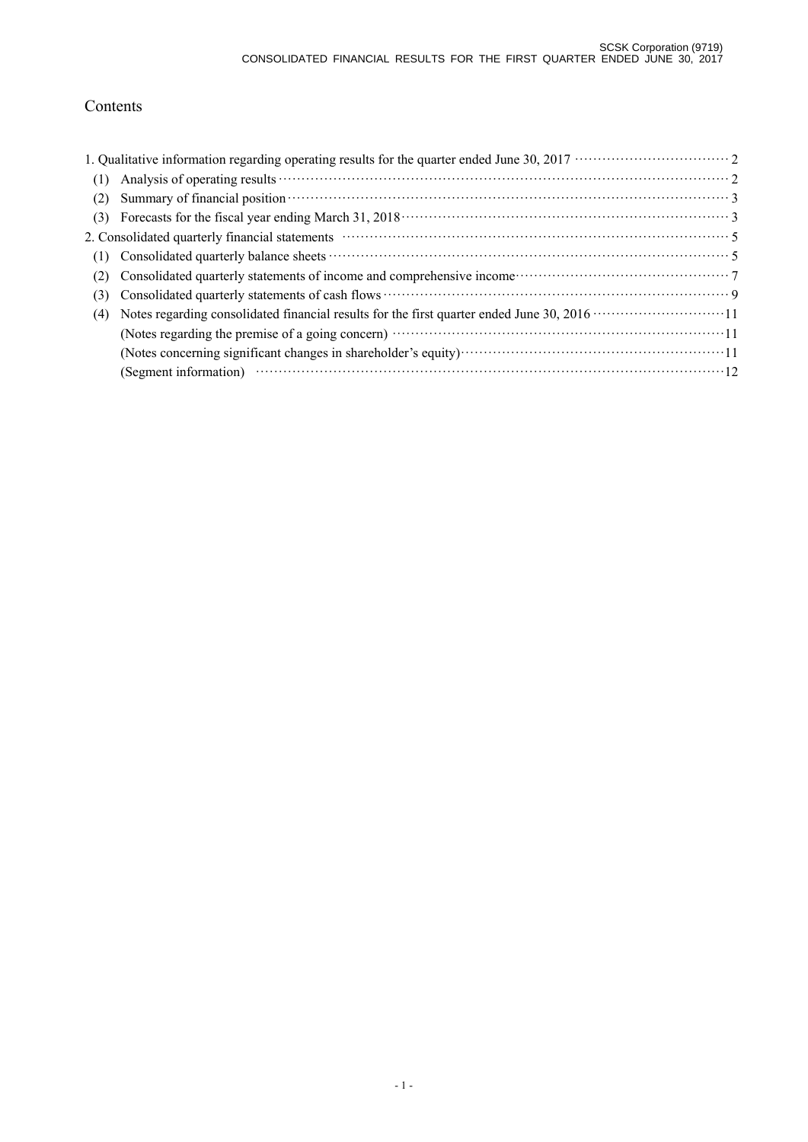# Contents

| (1) |                                                                                                                                                                                                                                |
|-----|--------------------------------------------------------------------------------------------------------------------------------------------------------------------------------------------------------------------------------|
| (2) | Summary of financial position <b>contract to the contract of the set of the set of financial position</b> 3                                                                                                                    |
| (3) |                                                                                                                                                                                                                                |
|     | 2. Consolidated quarterly financial statements material contracts and statements of the statements of the statements of the statements of the statements of the statements of the statements of the statements of the statemen |
| (1) |                                                                                                                                                                                                                                |
| (2) | Consolidated quarterly statements of income and comprehensive income<br>Fig. 2.1 (2.1) The consolidated quarterly statements of income and comprehensive income<br>Theorem and comprehensive income                            |
| (3) |                                                                                                                                                                                                                                |
| (4) |                                                                                                                                                                                                                                |
|     | (Notes regarding the premise of a going concern) manufactured contract to the premise of a going concern)                                                                                                                      |
|     |                                                                                                                                                                                                                                |
|     | (Segment information) $\cdots$ $\cdots$ $\cdots$ $\cdots$ $\cdots$ $\cdots$ $\cdots$ $\cdots$ $\cdots$ $\cdots$ $\cdots$ $\cdots$ $\cdots$ $\cdots$ $\cdots$ $\cdots$                                                          |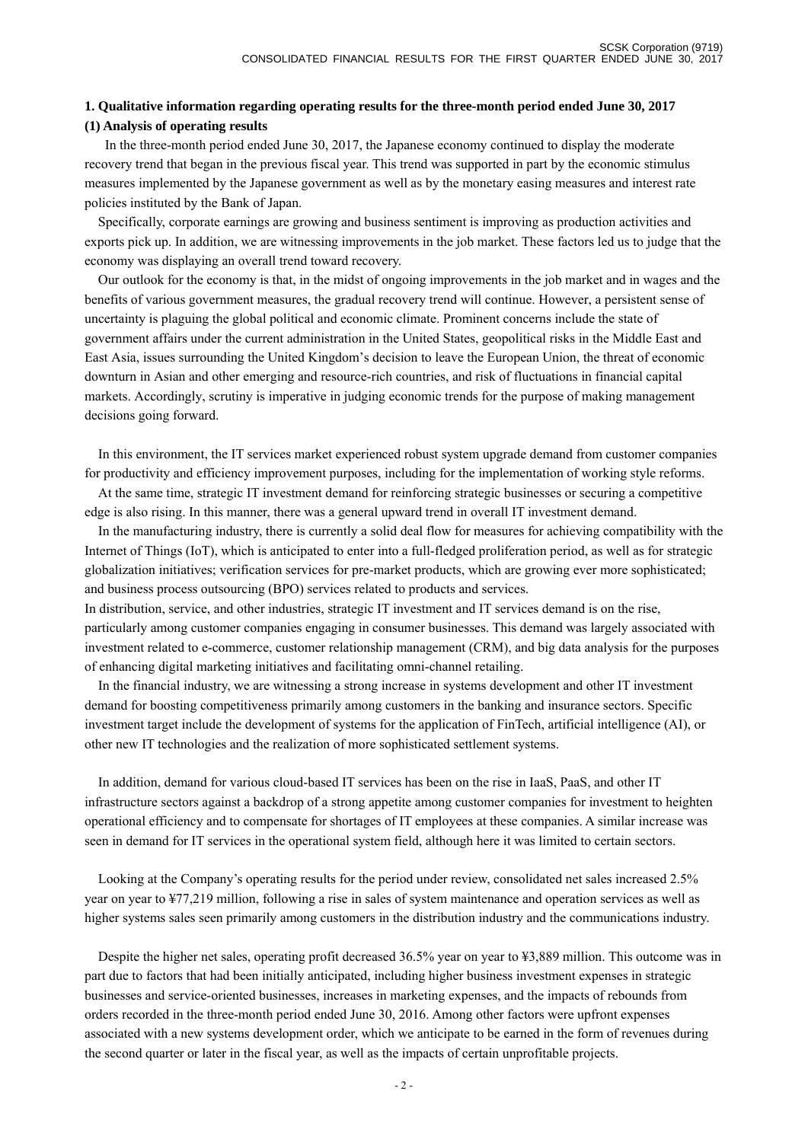## **1. Qualitative information regarding operating results for the three-month period ended June 30, 2017 (1) Analysis of operating results**

 In the three-month period ended June 30, 2017, the Japanese economy continued to display the moderate recovery trend that began in the previous fiscal year. This trend was supported in part by the economic stimulus measures implemented by the Japanese government as well as by the monetary easing measures and interest rate policies instituted by the Bank of Japan.

 Specifically, corporate earnings are growing and business sentiment is improving as production activities and exports pick up. In addition, we are witnessing improvements in the job market. These factors led us to judge that the economy was displaying an overall trend toward recovery.

 Our outlook for the economy is that, in the midst of ongoing improvements in the job market and in wages and the benefits of various government measures, the gradual recovery trend will continue. However, a persistent sense of uncertainty is plaguing the global political and economic climate. Prominent concerns include the state of government affairs under the current administration in the United States, geopolitical risks in the Middle East and East Asia, issues surrounding the United Kingdom's decision to leave the European Union, the threat of economic downturn in Asian and other emerging and resource-rich countries, and risk of fluctuations in financial capital markets. Accordingly, scrutiny is imperative in judging economic trends for the purpose of making management decisions going forward.

 In this environment, the IT services market experienced robust system upgrade demand from customer companies for productivity and efficiency improvement purposes, including for the implementation of working style reforms.

 At the same time, strategic IT investment demand for reinforcing strategic businesses or securing a competitive edge is also rising. In this manner, there was a general upward trend in overall IT investment demand.

 In the manufacturing industry, there is currently a solid deal flow for measures for achieving compatibility with the Internet of Things (IoT), which is anticipated to enter into a full-fledged proliferation period, as well as for strategic globalization initiatives; verification services for pre-market products, which are growing ever more sophisticated; and business process outsourcing (BPO) services related to products and services.

In distribution, service, and other industries, strategic IT investment and IT services demand is on the rise, particularly among customer companies engaging in consumer businesses. This demand was largely associated with investment related to e-commerce, customer relationship management (CRM), and big data analysis for the purposes of enhancing digital marketing initiatives and facilitating omni-channel retailing.

 In the financial industry, we are witnessing a strong increase in systems development and other IT investment demand for boosting competitiveness primarily among customers in the banking and insurance sectors. Specific investment target include the development of systems for the application of FinTech, artificial intelligence (AI), or other new IT technologies and the realization of more sophisticated settlement systems.

 In addition, demand for various cloud-based IT services has been on the rise in IaaS, PaaS, and other IT infrastructure sectors against a backdrop of a strong appetite among customer companies for investment to heighten operational efficiency and to compensate for shortages of IT employees at these companies. A similar increase was seen in demand for IT services in the operational system field, although here it was limited to certain sectors.

 Looking at the Company's operating results for the period under review, consolidated net sales increased 2.5% year on year to ¥77,219 million, following a rise in sales of system maintenance and operation services as well as higher systems sales seen primarily among customers in the distribution industry and the communications industry.

 Despite the higher net sales, operating profit decreased 36.5% year on year to ¥3,889 million. This outcome was in part due to factors that had been initially anticipated, including higher business investment expenses in strategic businesses and service-oriented businesses, increases in marketing expenses, and the impacts of rebounds from orders recorded in the three-month period ended June 30, 2016. Among other factors were upfront expenses associated with a new systems development order, which we anticipate to be earned in the form of revenues during the second quarter or later in the fiscal year, as well as the impacts of certain unprofitable projects.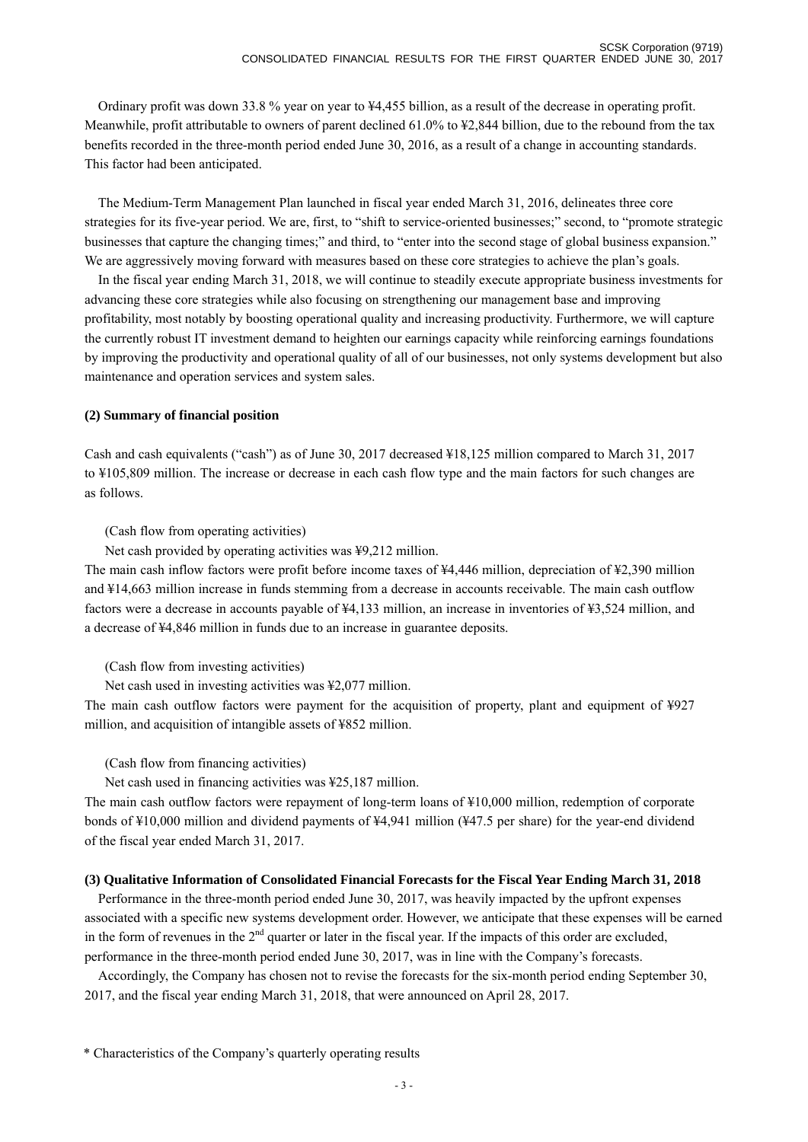Ordinary profit was down 33.8 % year on year to ¥4,455 billion, as a result of the decrease in operating profit. Meanwhile, profit attributable to owners of parent declined 61.0% to ¥2,844 billion, due to the rebound from the tax benefits recorded in the three-month period ended June 30, 2016, as a result of a change in accounting standards. This factor had been anticipated.

 The Medium-Term Management Plan launched in fiscal year ended March 31, 2016, delineates three core strategies for its five-year period. We are, first, to "shift to service-oriented businesses;" second, to "promote strategic businesses that capture the changing times;" and third, to "enter into the second stage of global business expansion." We are aggressively moving forward with measures based on these core strategies to achieve the plan's goals.

 In the fiscal year ending March 31, 2018, we will continue to steadily execute appropriate business investments for advancing these core strategies while also focusing on strengthening our management base and improving profitability, most notably by boosting operational quality and increasing productivity. Furthermore, we will capture the currently robust IT investment demand to heighten our earnings capacity while reinforcing earnings foundations by improving the productivity and operational quality of all of our businesses, not only systems development but also maintenance and operation services and system sales.

#### **(2) Summary of financial position**

Cash and cash equivalents ("cash") as of June 30, 2017 decreased ¥18,125 million compared to March 31, 2017 to ¥105,809 million. The increase or decrease in each cash flow type and the main factors for such changes are as follows.

(Cash flow from operating activities)

Net cash provided by operating activities was ¥9,212 million.

The main cash inflow factors were profit before income taxes of ¥4,446 million, depreciation of ¥2,390 million and ¥14,663 million increase in funds stemming from a decrease in accounts receivable. The main cash outflow factors were a decrease in accounts payable of ¥4,133 million, an increase in inventories of ¥3,524 million, and a decrease of ¥4,846 million in funds due to an increase in guarantee deposits.

(Cash flow from investing activities)

Net cash used in investing activities was ¥2,077 million.

The main cash outflow factors were payment for the acquisition of property, plant and equipment of ¥927 million, and acquisition of intangible assets of ¥852 million.

(Cash flow from financing activities)

Net cash used in financing activities was ¥25,187 million.

The main cash outflow factors were repayment of long-term loans of ¥10,000 million, redemption of corporate bonds of ¥10,000 million and dividend payments of ¥4,941 million (¥47.5 per share) for the year-end dividend of the fiscal year ended March 31, 2017.

#### **(3) Qualitative Information of Consolidated Financial Forecasts for the Fiscal Year Ending March 31, 2018**

 Performance in the three-month period ended June 30, 2017, was heavily impacted by the upfront expenses associated with a specific new systems development order. However, we anticipate that these expenses will be earned in the form of revenues in the  $2<sup>nd</sup>$  quarter or later in the fiscal year. If the impacts of this order are excluded, performance in the three-month period ended June 30, 2017, was in line with the Company's forecasts.

 Accordingly, the Company has chosen not to revise the forecasts for the six-month period ending September 30, 2017, and the fiscal year ending March 31, 2018, that were announced on April 28, 2017.

\* Characteristics of the Company's quarterly operating results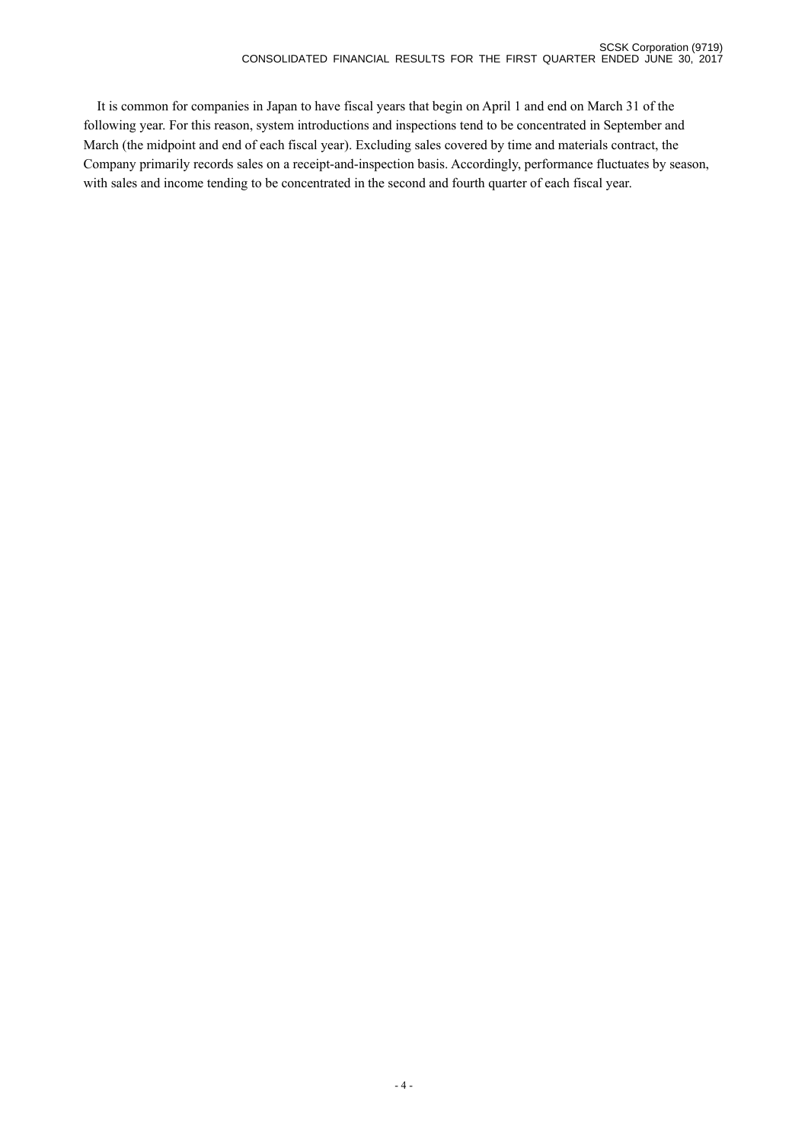It is common for companies in Japan to have fiscal years that begin on April 1 and end on March 31 of the following year. For this reason, system introductions and inspections tend to be concentrated in September and March (the midpoint and end of each fiscal year). Excluding sales covered by time and materials contract, the Company primarily records sales on a receipt-and-inspection basis. Accordingly, performance fluctuates by season, with sales and income tending to be concentrated in the second and fourth quarter of each fiscal year.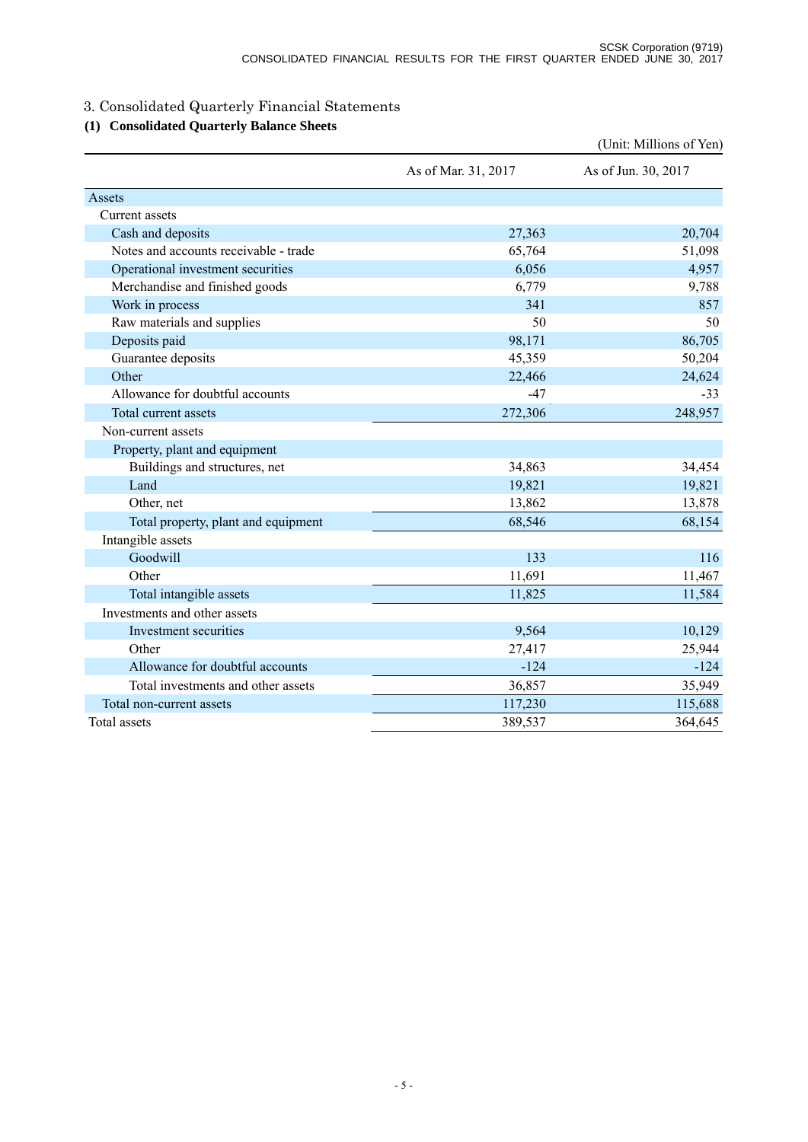# 3. Consolidated Quarterly Financial Statements

# **(1) Consolidated Quarterly Balance Sheets**

|                                       |                     | (Unit: Millions of Yen) |
|---------------------------------------|---------------------|-------------------------|
|                                       | As of Mar. 31, 2017 | As of Jun. 30, 2017     |
| Assets                                |                     |                         |
| Current assets                        |                     |                         |
| Cash and deposits                     | 27,363              | 20,704                  |
| Notes and accounts receivable - trade | 65,764              | 51,098                  |
| Operational investment securities     | 6,056               | 4,957                   |
| Merchandise and finished goods        | 6,779               | 9,788                   |
| Work in process                       | 341                 | 857                     |
| Raw materials and supplies            | 50                  | 50                      |
| Deposits paid                         | 98,171              | 86,705                  |
| Guarantee deposits                    | 45,359              | 50,204                  |
| Other                                 | 22,466              | 24,624                  |
| Allowance for doubtful accounts       | $-47$               | $-33$                   |
| Total current assets                  | 272,306             | 248,957                 |
| Non-current assets                    |                     |                         |
| Property, plant and equipment         |                     |                         |
| Buildings and structures, net         | 34,863              | 34,454                  |
| Land                                  | 19,821              | 19,821                  |
| Other, net                            | 13,862              | 13,878                  |
| Total property, plant and equipment   | 68,546              | 68,154                  |
| Intangible assets                     |                     |                         |
| Goodwill                              | 133                 | 116                     |
| Other                                 | 11,691              | 11,467                  |
| Total intangible assets               | 11,825              | 11,584                  |
| Investments and other assets          |                     |                         |
| Investment securities                 | 9,564               | 10,129                  |
| Other                                 | 27,417              | 25,944                  |
| Allowance for doubtful accounts       | $-124$              | $-124$                  |
| Total investments and other assets    | 36,857              | 35,949                  |
| Total non-current assets              | 117,230             | 115,688                 |
| Total assets                          | 389,537             | 364,645                 |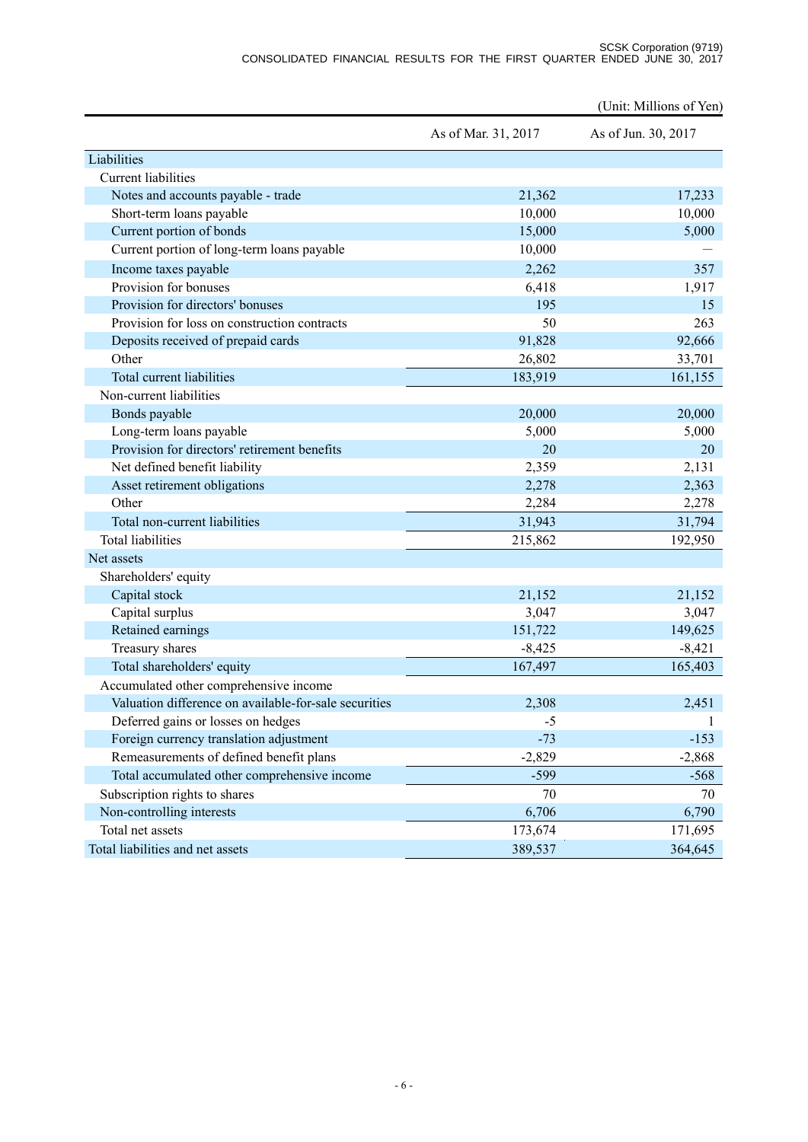#### SCSK Corporation (9719) CONSOLIDATED FINANCIAL RESULTS FOR THE FIRST QUARTER ENDED JUNE 30, 2017

|                                                       |                     | (Unit: Millions of Yen) |
|-------------------------------------------------------|---------------------|-------------------------|
|                                                       | As of Mar. 31, 2017 | As of Jun. 30, 2017     |
| Liabilities                                           |                     |                         |
| <b>Current liabilities</b>                            |                     |                         |
| Notes and accounts payable - trade                    | 21,362              | 17,233                  |
| Short-term loans payable                              | 10,000              | 10,000                  |
| Current portion of bonds                              | 15,000              | 5,000                   |
| Current portion of long-term loans payable            | 10,000              |                         |
| Income taxes payable                                  | 2,262               | 357                     |
| Provision for bonuses                                 | 6,418               | 1,917                   |
| Provision for directors' bonuses                      | 195                 | 15                      |
| Provision for loss on construction contracts          | 50                  | 263                     |
| Deposits received of prepaid cards                    | 91,828              | 92,666                  |
| Other                                                 | 26,802              | 33,701                  |
| Total current liabilities                             | 183,919             | 161,155                 |
| Non-current liabilities                               |                     |                         |
| Bonds payable                                         | 20,000              | 20,000                  |
| Long-term loans payable                               | 5,000               | 5,000                   |
| Provision for directors' retirement benefits          | 20                  | 20                      |
| Net defined benefit liability                         | 2,359               | 2,131                   |
| Asset retirement obligations                          | 2,278               | 2,363                   |
| Other                                                 | 2,284               | 2,278                   |
| Total non-current liabilities                         | 31,943              | 31,794                  |
| <b>Total liabilities</b>                              | 215,862             | 192,950                 |
| Net assets                                            |                     |                         |
| Shareholders' equity                                  |                     |                         |
| Capital stock                                         | 21,152              | 21,152                  |
| Capital surplus                                       | 3,047               | 3,047                   |
| Retained earnings                                     | 151,722             | 149,625                 |
| Treasury shares                                       | $-8,425$            | $-8,421$                |
| Total shareholders' equity                            | 167,497             | 165,403                 |
| Accumulated other comprehensive income                |                     |                         |
| Valuation difference on available-for-sale securities | 2,308               | 2,451                   |
| Deferred gains or losses on hedges                    | $-5$                |                         |
| Foreign currency translation adjustment               | $-73$               | $-153$                  |
| Remeasurements of defined benefit plans               | $-2,829$            | $-2,868$                |
| Total accumulated other comprehensive income          | $-599$              | $-568$                  |
| Subscription rights to shares                         | 70                  | 70                      |
| Non-controlling interests                             | 6,706               | 6,790                   |
| Total net assets                                      | 173,674             | 171,695                 |
| Total liabilities and net assets                      | 389,537             | 364,645                 |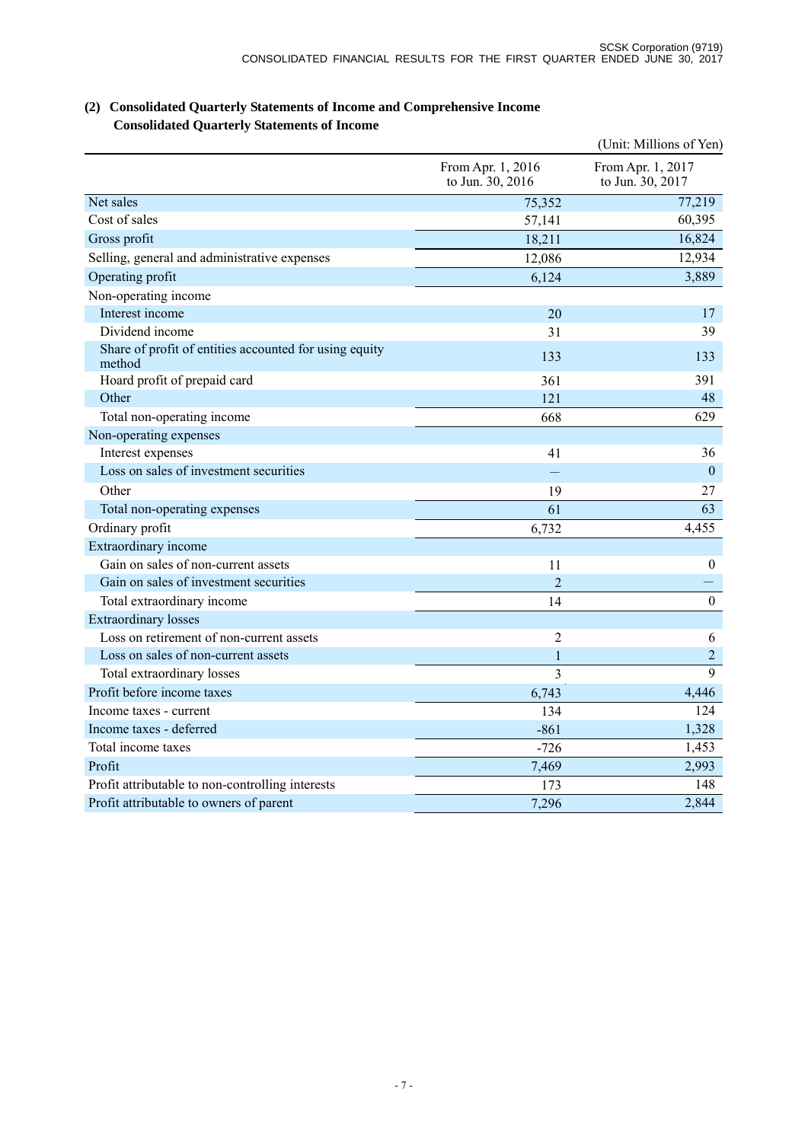|                                                                  |                                       | (Unit: Millions of Yen)               |
|------------------------------------------------------------------|---------------------------------------|---------------------------------------|
|                                                                  | From Apr. 1, 2016<br>to Jun. 30, 2016 | From Apr. 1, 2017<br>to Jun. 30, 2017 |
| Net sales                                                        | 75,352                                | 77,219                                |
| Cost of sales                                                    | 57,141                                | 60,395                                |
| Gross profit                                                     | 18,211                                | 16,824                                |
| Selling, general and administrative expenses                     | 12,086                                | 12,934                                |
| Operating profit                                                 | 6,124                                 | 3,889                                 |
| Non-operating income                                             |                                       |                                       |
| Interest income                                                  | 20                                    | 17                                    |
| Dividend income                                                  | 31                                    | 39                                    |
| Share of profit of entities accounted for using equity<br>method | 133                                   | 133                                   |
| Hoard profit of prepaid card                                     | 361                                   | 391                                   |
| Other                                                            | 121                                   | 48                                    |
| Total non-operating income                                       | 668                                   | 629                                   |
| Non-operating expenses                                           |                                       |                                       |
| Interest expenses                                                | 41                                    | 36                                    |
| Loss on sales of investment securities                           |                                       | $\overline{0}$                        |
| Other                                                            | 19                                    | 27                                    |
| Total non-operating expenses                                     | 61                                    | 63                                    |
| Ordinary profit                                                  | 6,732                                 | 4,455                                 |
| Extraordinary income                                             |                                       |                                       |
| Gain on sales of non-current assets                              | 11                                    | $\boldsymbol{0}$                      |
| Gain on sales of investment securities                           | $\overline{2}$                        |                                       |
| Total extraordinary income                                       | 14                                    | $\boldsymbol{0}$                      |
| <b>Extraordinary losses</b>                                      |                                       |                                       |
| Loss on retirement of non-current assets                         | $\overline{2}$                        | 6                                     |
| Loss on sales of non-current assets                              | 1                                     | $\overline{2}$                        |
| Total extraordinary losses                                       | $\overline{3}$                        | 9                                     |
| Profit before income taxes                                       | 6,743                                 | 4,446                                 |
| Income taxes - current                                           | 134                                   | 124                                   |
| Income taxes - deferred                                          | $-861$                                | 1,328                                 |
| Total income taxes                                               | $-726$                                | 1,453                                 |
| Profit                                                           | 7,469                                 | 2,993                                 |
| Profit attributable to non-controlling interests                 | 173                                   | 148                                   |
| Profit attributable to owners of parent                          | 7,296                                 | 2,844                                 |

# **(2) Consolidated Quarterly Statements of Income and Comprehensive Income Consolidated Quarterly Statements of Income**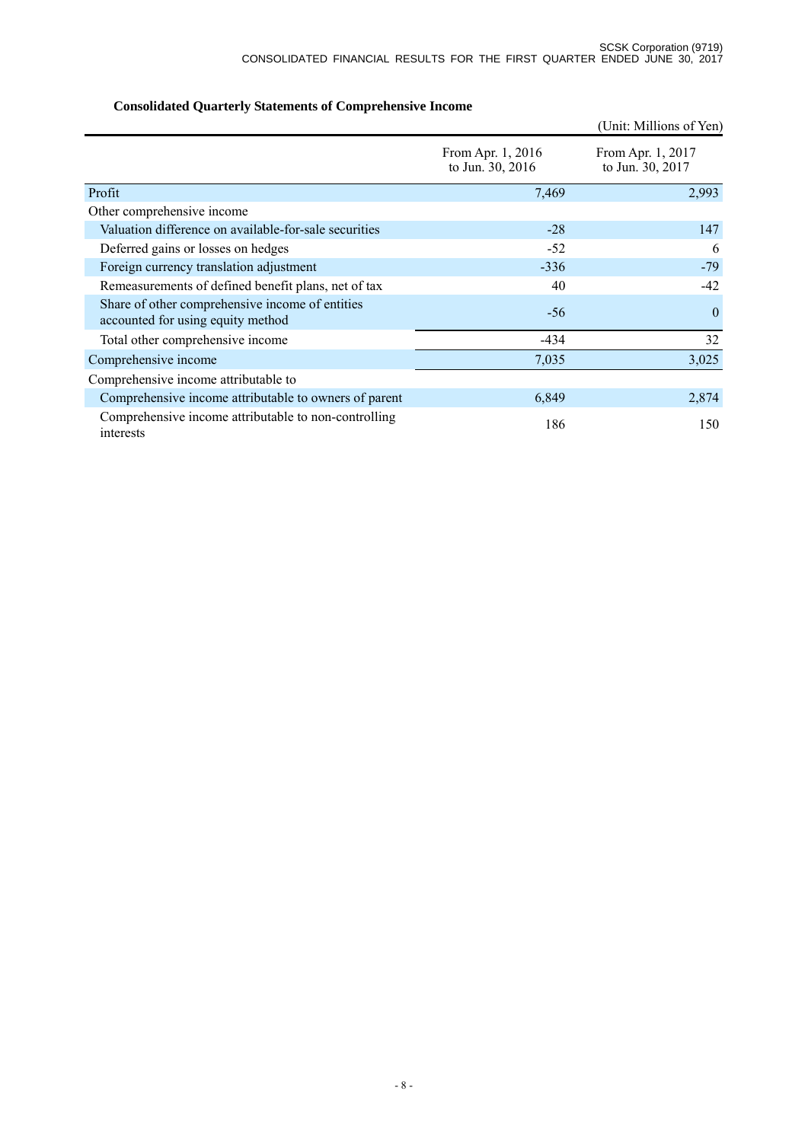|                                                                                      |                                       | (Unit: Millions of Yen)               |
|--------------------------------------------------------------------------------------|---------------------------------------|---------------------------------------|
|                                                                                      | From Apr. 1, 2016<br>to Jun. 30, 2016 | From Apr. 1, 2017<br>to Jun. 30, 2017 |
| Profit                                                                               | 7,469                                 | 2,993                                 |
| Other comprehensive income                                                           |                                       |                                       |
| Valuation difference on available-for-sale securities                                | $-28$                                 | 147                                   |
| Deferred gains or losses on hedges                                                   | $-52$                                 | 6                                     |
| Foreign currency translation adjustment                                              | $-336$                                | $-79$                                 |
| Remeasurements of defined benefit plans, net of tax                                  | 40                                    | -42                                   |
| Share of other comprehensive income of entities<br>accounted for using equity method | $-56$                                 | $\theta$                              |
| Total other comprehensive income                                                     | $-434$                                | 32                                    |
| Comprehensive income                                                                 | 7,035                                 | 3,025                                 |
| Comprehensive income attributable to                                                 |                                       |                                       |
| Comprehensive income attributable to owners of parent                                | 6,849                                 | 2,874                                 |
| Comprehensive income attributable to non-controlling<br>interests                    | 186                                   | 150                                   |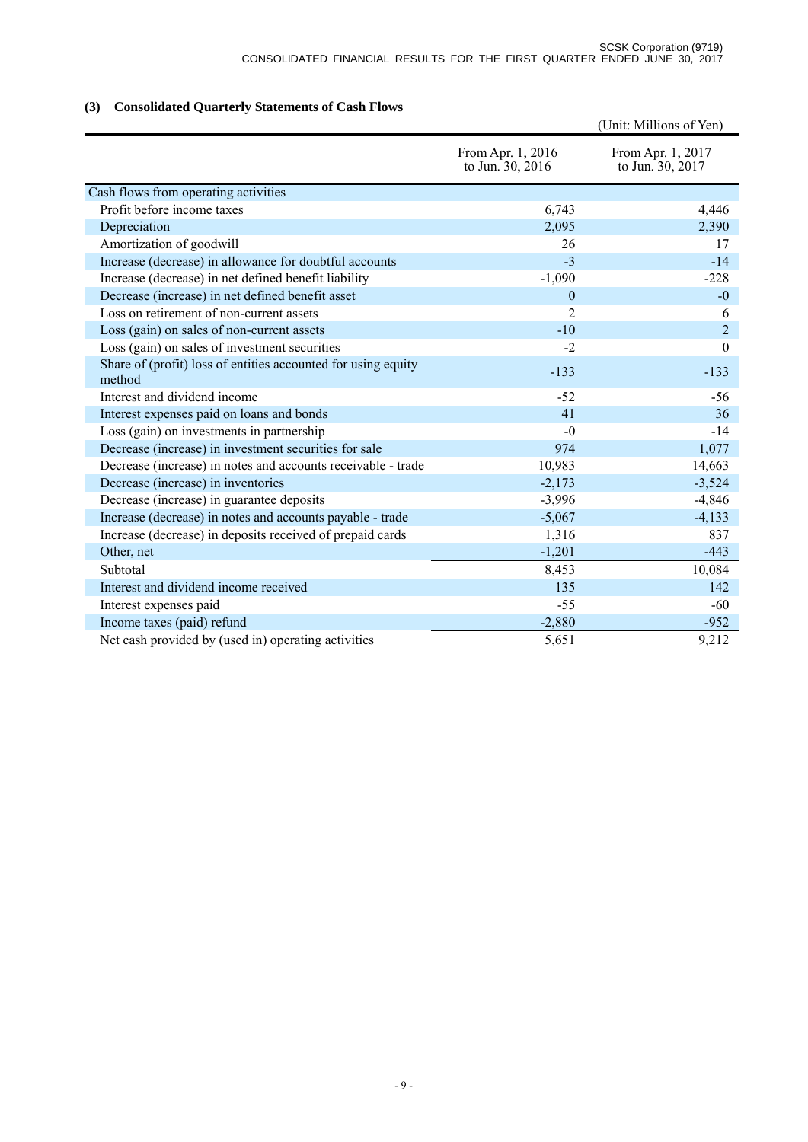# **(3) Consolidated Quarterly Statements of Cash Flows**

|                                                                         |                                       | (Unit: Millions of Yen)               |
|-------------------------------------------------------------------------|---------------------------------------|---------------------------------------|
|                                                                         | From Apr. 1, 2016<br>to Jun. 30, 2016 | From Apr. 1, 2017<br>to Jun. 30, 2017 |
| Cash flows from operating activities                                    |                                       |                                       |
| Profit before income taxes                                              | 6,743                                 | 4,446                                 |
| Depreciation                                                            | 2,095                                 | 2,390                                 |
| Amortization of goodwill                                                | 26                                    | 17                                    |
| Increase (decrease) in allowance for doubtful accounts                  | $-3$                                  | $-14$                                 |
| Increase (decrease) in net defined benefit liability                    | $-1,090$                              | $-228$                                |
| Decrease (increase) in net defined benefit asset                        | $\theta$                              | $-0$                                  |
| Loss on retirement of non-current assets                                | $\overline{2}$                        | 6                                     |
| Loss (gain) on sales of non-current assets                              | $-10$                                 | $\overline{2}$                        |
| Loss (gain) on sales of investment securities                           | $-2$                                  | $\theta$                              |
| Share of (profit) loss of entities accounted for using equity<br>method | $-133$                                | $-133$                                |
| Interest and dividend income                                            | $-52$                                 | $-56$                                 |
| Interest expenses paid on loans and bonds                               | 41                                    | 36                                    |
| Loss (gain) on investments in partnership                               | $-0$                                  | $-14$                                 |
| Decrease (increase) in investment securities for sale                   | 974                                   | 1,077                                 |
| Decrease (increase) in notes and accounts receivable - trade            | 10,983                                | 14,663                                |
| Decrease (increase) in inventories                                      | $-2,173$                              | $-3,524$                              |
| Decrease (increase) in guarantee deposits                               | $-3,996$                              | $-4,846$                              |
| Increase (decrease) in notes and accounts payable - trade               | $-5,067$                              | $-4,133$                              |
| Increase (decrease) in deposits received of prepaid cards               | 1,316                                 | 837                                   |
| Other, net                                                              | $-1,201$                              | $-443$                                |
| Subtotal                                                                | 8,453                                 | 10,084                                |
| Interest and dividend income received                                   | 135                                   | 142                                   |
| Interest expenses paid                                                  | $-55$                                 | $-60$                                 |
| Income taxes (paid) refund                                              | $-2,880$                              | $-952$                                |
| Net cash provided by (used in) operating activities                     | 5,651                                 | 9,212                                 |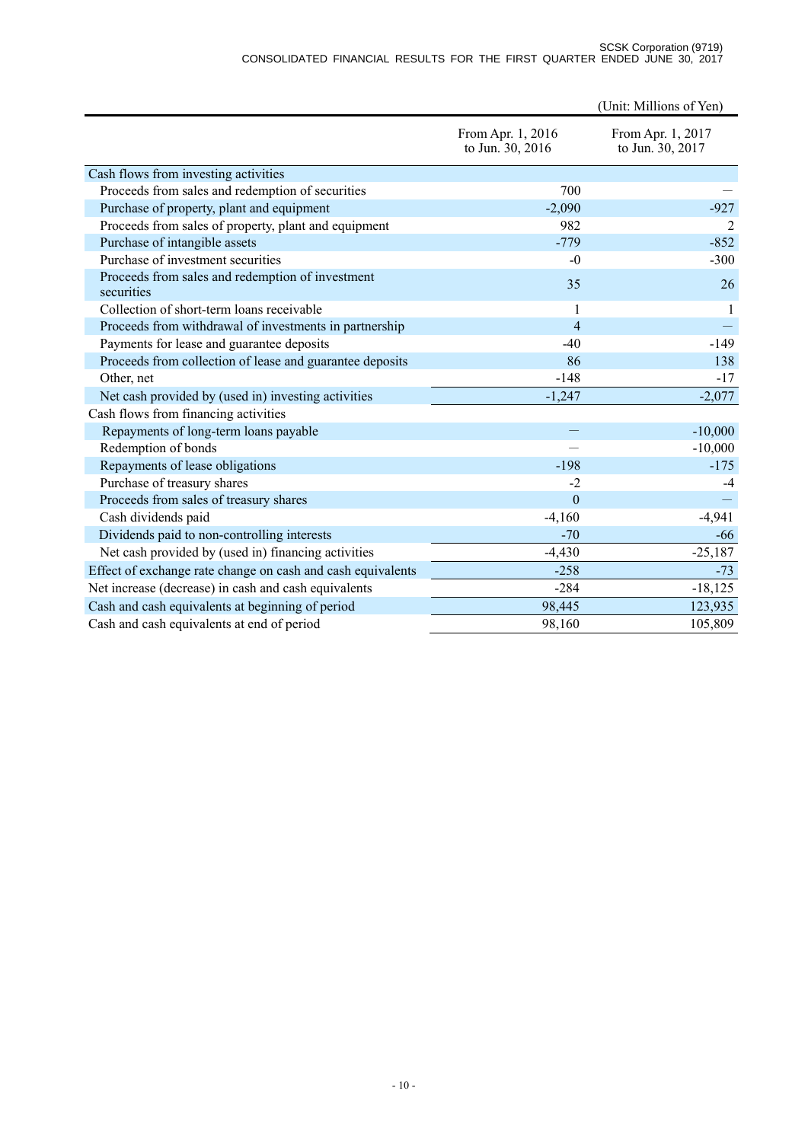#### SCSK Corporation (9719) CONSOLIDATED FINANCIAL RESULTS FOR THE FIRST QUARTER ENDED JUNE 30, 2017

|                                                                |                                       | (Unit: Millions of Yen)               |
|----------------------------------------------------------------|---------------------------------------|---------------------------------------|
|                                                                | From Apr. 1, 2016<br>to Jun. 30, 2016 | From Apr. 1, 2017<br>to Jun. 30, 2017 |
| Cash flows from investing activities                           |                                       |                                       |
| Proceeds from sales and redemption of securities               | 700                                   |                                       |
| Purchase of property, plant and equipment                      | $-2,090$                              | $-927$                                |
| Proceeds from sales of property, plant and equipment           | 982                                   |                                       |
| Purchase of intangible assets                                  | $-779$                                | $-852$                                |
| Purchase of investment securities                              | $-0$                                  | $-300$                                |
| Proceeds from sales and redemption of investment<br>securities | 35                                    | 26                                    |
| Collection of short-term loans receivable                      | 1                                     |                                       |
| Proceeds from withdrawal of investments in partnership         | $\overline{4}$                        |                                       |
| Payments for lease and guarantee deposits                      | $-40$                                 | $-149$                                |
| Proceeds from collection of lease and guarantee deposits       | 86                                    | 138                                   |
| Other, net                                                     | $-148$                                | $-17$                                 |
| Net cash provided by (used in) investing activities            | $-1,247$                              | $-2,077$                              |
| Cash flows from financing activities                           |                                       |                                       |
| Repayments of long-term loans payable                          |                                       | $-10,000$                             |
| Redemption of bonds                                            |                                       | $-10,000$                             |
| Repayments of lease obligations                                | $-198$                                | $-175$                                |
| Purchase of treasury shares                                    | $-2$                                  | $-4$                                  |
| Proceeds from sales of treasury shares                         | $\mathbf{0}$                          |                                       |
| Cash dividends paid                                            | $-4,160$                              | $-4,941$                              |
| Dividends paid to non-controlling interests                    | $-70$                                 | -66                                   |
| Net cash provided by (used in) financing activities            | $-4,430$                              | $-25,187$                             |
| Effect of exchange rate change on cash and cash equivalents    | $-258$                                | $-73$                                 |
| Net increase (decrease) in cash and cash equivalents           | $-284$                                | $-18,125$                             |
| Cash and cash equivalents at beginning of period               | 98,445                                | 123,935                               |
| Cash and cash equivalents at end of period                     | 98,160                                | 105,809                               |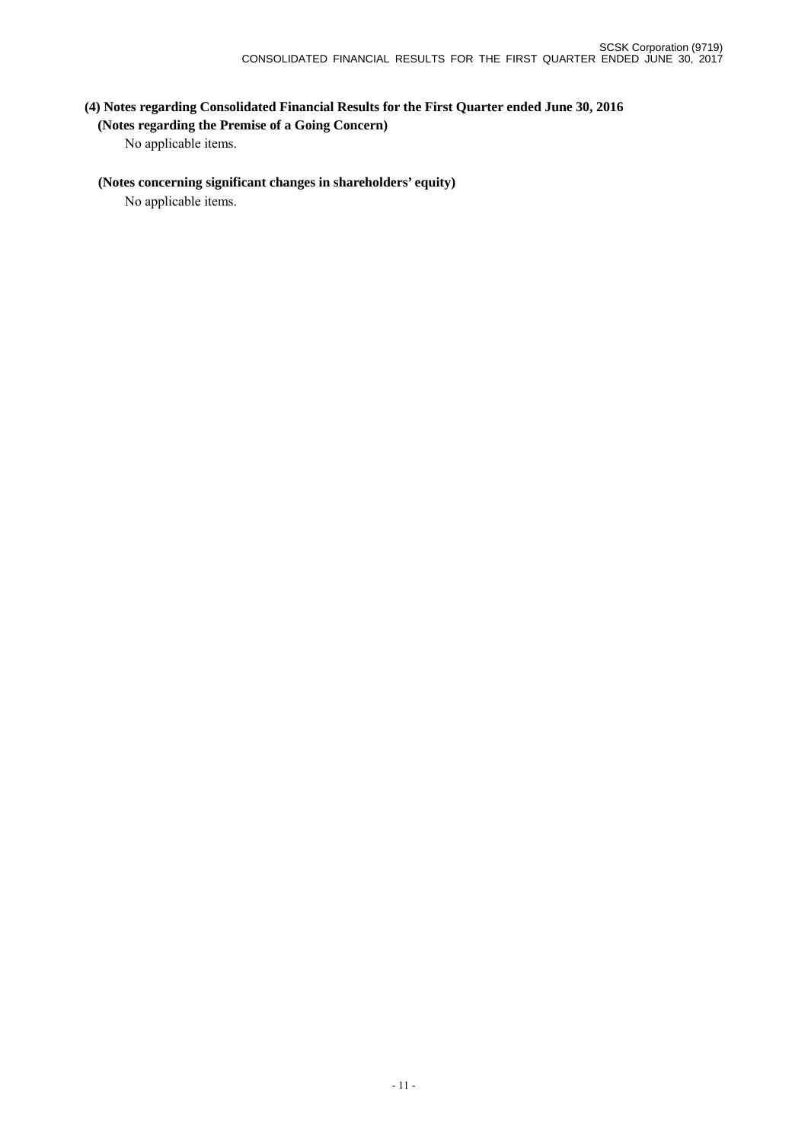# **(4) Notes regarding Consolidated Financial Results for the First Quarter ended June 30, 2016 (Notes regarding the Premise of a Going Concern)**

No applicable items.

## **(Notes concerning significant changes in shareholders' equity)**

No applicable items.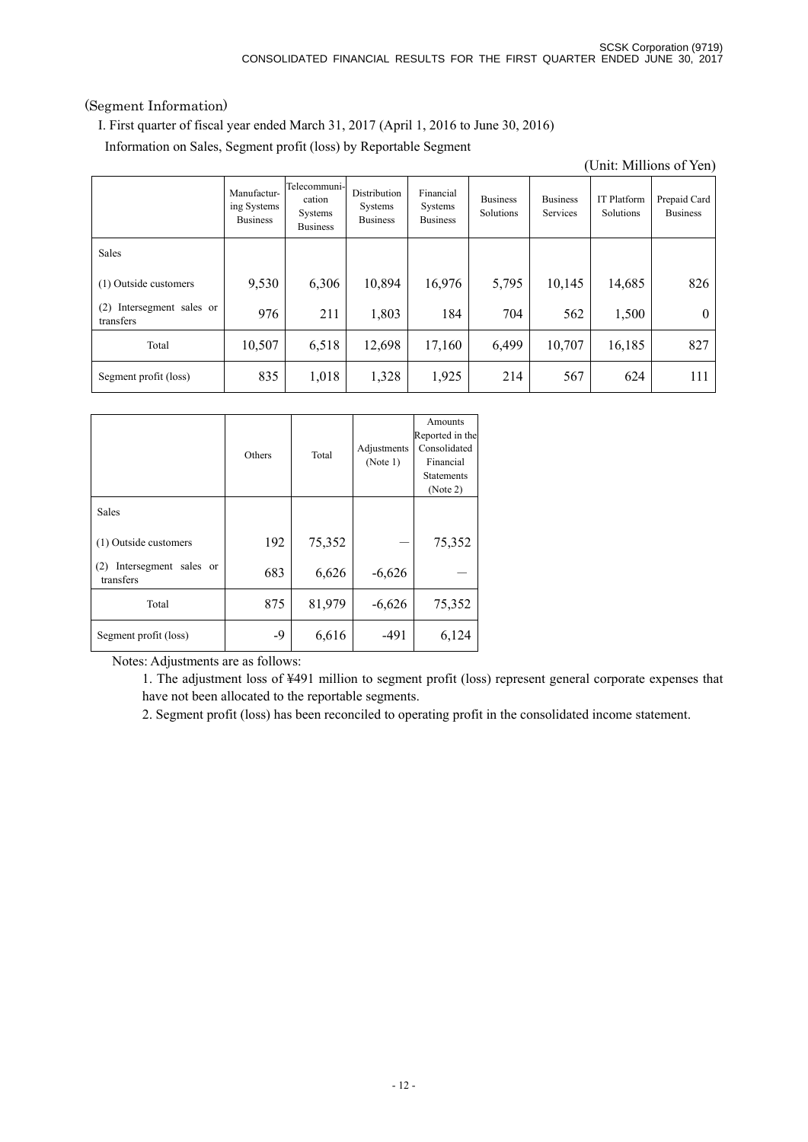## (Segment Information)

I. First quarter of fiscal year ended March 31, 2017 (April 1, 2016 to June 30, 2016)

Information on Sales, Segment profit (loss) by Reportable Segment

|                                           |                                               |                                                             |                                                   |                                         |                              |                             |                                 | (Unit: Millions of Yen)         |
|-------------------------------------------|-----------------------------------------------|-------------------------------------------------------------|---------------------------------------------------|-----------------------------------------|------------------------------|-----------------------------|---------------------------------|---------------------------------|
|                                           | Manufactur-<br>ing Systems<br><b>Business</b> | Telecommuni-<br>cation<br><b>Systems</b><br><b>Business</b> | Distribution<br><b>Systems</b><br><b>Business</b> | Financial<br>Systems<br><b>Business</b> | <b>Business</b><br>Solutions | <b>Business</b><br>Services | <b>IT Platform</b><br>Solutions | Prepaid Card<br><b>Business</b> |
| <b>Sales</b>                              |                                               |                                                             |                                                   |                                         |                              |                             |                                 |                                 |
| (1) Outside customers                     | 9,530                                         | 6,306                                                       | 10,894                                            | 16,976                                  | 5,795                        | 10,145                      | 14,685                          | 826                             |
| Intersegment sales or<br>(2)<br>transfers | 976                                           | 211                                                         | 1,803                                             | 184                                     | 704                          | 562                         | 1,500                           | $\theta$                        |
| Total                                     | 10,507                                        | 6,518                                                       | 12,698                                            | 17,160                                  | 6,499                        | 10,707                      | 16,185                          | 827                             |
| Segment profit (loss)                     | 835                                           | 1,018                                                       | 1,328                                             | 1,925                                   | 214                          | 567                         | 624                             | 111                             |

|                                           | Others | Total  | Adjustments<br>(Note 1) | Amounts<br>Reported in the<br>Consolidated<br>Financial<br><b>Statements</b><br>(Note 2) |
|-------------------------------------------|--------|--------|-------------------------|------------------------------------------------------------------------------------------|
| Sales                                     |        |        |                         |                                                                                          |
| (1) Outside customers                     | 192    | 75,352 |                         | 75,352                                                                                   |
| Intersegment sales or<br>(2)<br>transfers | 683    | 6,626  | $-6,626$                |                                                                                          |
| Total                                     | 875    | 81,979 | $-6,626$                | 75,352                                                                                   |
| Segment profit (loss)                     | $-9$   | 6,616  | $-491$                  | 6,124                                                                                    |

Notes: Adjustments are as follows:

1. The adjustment loss of ¥491 million to segment profit (loss) represent general corporate expenses that have not been allocated to the reportable segments.

2. Segment profit (loss) has been reconciled to operating profit in the consolidated income statement.